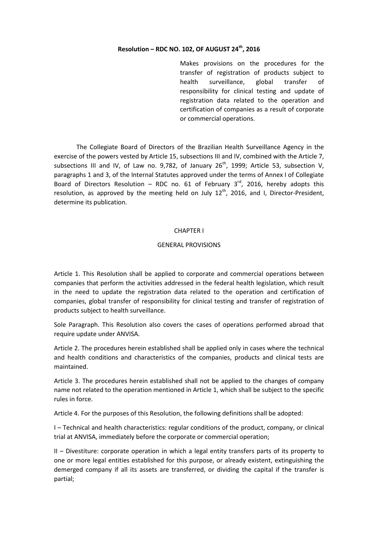# **Resolution – RDC NO. 102, OF AUGUST 24th, 2016**

Makes provisions on the procedures for the transfer of registration of products subject to health surveillance, global transfer of responsibility for clinical testing and update of registration data related to the operation and certification of companies as a result of corporate or commercial operations.

The Collegiate Board of Directors of the Brazilian Health Surveillance Agency in the exercise of the powers vested by Article 15, subsections III and IV, combined with the Article 7, subsections III and IV, of Law no. 9,782, of January  $26<sup>th</sup>$ , 1999; Article 53, subsection V, paragraphs 1 and 3, of the Internal Statutes approved under the terms of Annex I of Collegiate Board of Directors Resolution – RDC no. 61 of February  $3^{rd}$ , 2016, hereby adopts this resolution, as approved by the meeting held on July  $12<sup>th</sup>$ , 2016, and I, Director-President, determine its publication.

#### CHAPTER I

#### GENERAL PROVISIONS

Article 1. This Resolution shall be applied to corporate and commercial operations between companies that perform the activities addressed in the federal health legislation, which result in the need to update the registration data related to the operation and certification of companies, global transfer of responsibility for clinical testing and transfer of registration of products subject to health surveillance.

Sole Paragraph. This Resolution also covers the cases of operations performed abroad that require update under ANVISA.

Article 2. The procedures herein established shall be applied only in cases where the technical and health conditions and characteristics of the companies, products and clinical tests are maintained.

Article 3. The procedures herein established shall not be applied to the changes of company name not related to the operation mentioned in Article 1, which shall be subject to the specific rules in force.

Article 4. For the purposes of this Resolution, the following definitions shall be adopted:

I – Technical and health characteristics: regular conditions of the product, company, or clinical trial at ANVISA, immediately before the corporate or commercial operation;

II – Divestiture: corporate operation in which a legal entity transfers parts of its property to one or more legal entities established for this purpose, or already existent, extinguishing the demerged company if all its assets are transferred, or dividing the capital if the transfer is partial;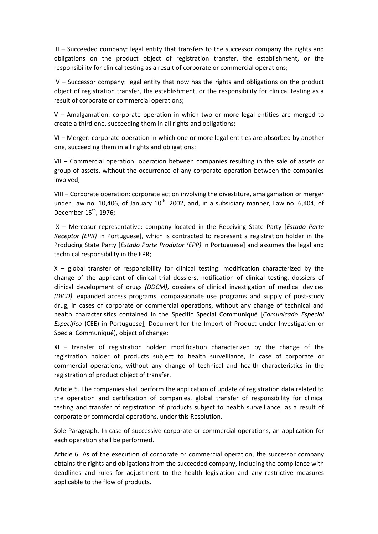III – Succeeded company: legal entity that transfers to the successor company the rights and obligations on the product object of registration transfer, the establishment, or the responsibility for clinical testing as a result of corporate or commercial operations;

IV – Successor company: legal entity that now has the rights and obligations on the product object of registration transfer, the establishment, or the responsibility for clinical testing as a result of corporate or commercial operations;

V – Amalgamation: corporate operation in which two or more legal entities are merged to create a third one, succeeding them in all rights and obligations;

VI – Merger: corporate operation in which one or more legal entities are absorbed by another one, succeeding them in all rights and obligations;

VII – Commercial operation: operation between companies resulting in the sale of assets or group of assets, without the occurrence of any corporate operation between the companies involved;

VIII – Corporate operation: corporate action involving the divestiture, amalgamation or merger under Law no. 10,406, of January  $10^{th}$ , 2002, and, in a subsidiary manner, Law no. 6,404, of December 15<sup>th</sup>, 1976;

IX – Mercosur representative: company located in the Receiving State Party [*Estado Parte Receptor (EPR)* in Portuguese], which is contracted to represent a registration holder in the Producing State Party [*Estado Parte Produtor (EPP)* in Portuguese] and assumes the legal and technical responsibility in the EPR;

 $X -$  global transfer of responsibility for clinical testing: modification characterized by the change of the applicant of clinical trial dossiers, notification of clinical testing, dossiers of clinical development of drugs *(DDCM)*, dossiers of clinical investigation of medical devices *(DICD)*, expanded access programs, compassionate use programs and supply of post-study drug, in cases of corporate or commercial operations, without any change of technical and health characteristics contained in the Specific Special Communiqué [*Comunicado Especial Específico* (CEE) in Portuguese], Document for the Import of Product under Investigation or Special Communiqué), object of change;

XI – transfer of registration holder: modification characterized by the change of the registration holder of products subject to health surveillance, in case of corporate or commercial operations, without any change of technical and health characteristics in the registration of product object of transfer.

Article 5. The companies shall perform the application of update of registration data related to the operation and certification of companies, global transfer of responsibility for clinical testing and transfer of registration of products subject to health surveillance, as a result of corporate or commercial operations, under this Resolution.

Sole Paragraph. In case of successive corporate or commercial operations, an application for each operation shall be performed.

Article 6. As of the execution of corporate or commercial operation, the successor company obtains the rights and obligations from the succeeded company, including the compliance with deadlines and rules for adjustment to the health legislation and any restrictive measures applicable to the flow of products.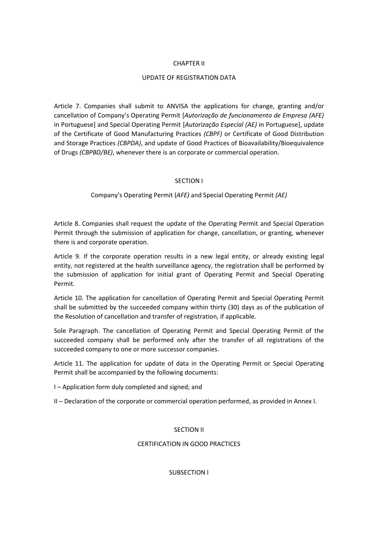## CHAPTER II

# UPDATE OF REGISTRATION DATA

Article 7. Companies shall submit to ANVISA the applications for change, granting and/or cancellation of Company's Operating Permit [*Autorização de funcionamento de Empresa (AFE)* in Portuguese] and Special Operating Permit [*Autorização Especial (AE)* in Portuguese], update of the Certificate of Good Manufacturing Practices *(CBPF)* or Certificate of Good Distribution and Storage Practices *(CBPDA)*, and update of Good Practices of Bioavailability/Bioequivalence of Drugs *(CBPBD/BE)*, whenever there is an corporate or commercial operation.

# SECTION I

# Company's Operating Permit (*AFE)* and Special Operating Permit *(AE)*

Article 8. Companies shall request the update of the Operating Permit and Special Operation Permit through the submission of application for change, cancellation, or granting, whenever there is and corporate operation.

Article 9. If the corporate operation results in a new legal entity, or already existing legal entity, not registered at the health surveillance agency, the registration shall be performed by the submission of application for initial grant of Operating Permit and Special Operating Permit.

Article 10. The application for cancellation of Operating Permit and Special Operating Permit shall be submitted by the succeeded company within thirty (30) days as of the publication of the Resolution of cancellation and transfer of registration, if applicable.

Sole Paragraph. The cancellation of Operating Permit and Special Operating Permit of the succeeded company shall be performed only after the transfer of all registrations of the succeeded company to one or more successor companies.

Article 11. The application for update of data in the Operating Permit or Special Operating Permit shall be accompanied by the following documents:

I – Application form duly completed and signed; and

II – Declaration of the corporate or commercial operation performed, as provided in Annex I.

## SECTION II

## CERTIFICATION IN GOOD PRACTICES

SUBSECTION I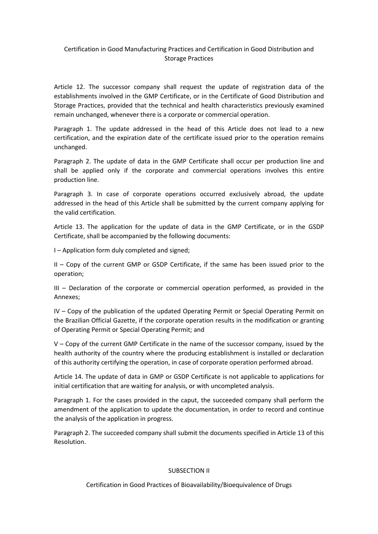# Certification in Good Manufacturing Practices and Certification in Good Distribution and Storage Practices

Article 12. The successor company shall request the update of registration data of the establishments involved in the GMP Certificate, or in the Certificate of Good Distribution and Storage Practices, provided that the technical and health characteristics previously examined remain unchanged, whenever there is a corporate or commercial operation.

Paragraph 1. The update addressed in the head of this Article does not lead to a new certification, and the expiration date of the certificate issued prior to the operation remains unchanged.

Paragraph 2. The update of data in the GMP Certificate shall occur per production line and shall be applied only if the corporate and commercial operations involves this entire production line.

Paragraph 3. In case of corporate operations occurred exclusively abroad, the update addressed in the head of this Article shall be submitted by the current company applying for the valid certification.

Article 13. The application for the update of data in the GMP Certificate, or in the GSDP Certificate, shall be accompanied by the following documents:

I – Application form duly completed and signed;

II – Copy of the current GMP or GSDP Certificate, if the same has been issued prior to the operation;

III – Declaration of the corporate or commercial operation performed, as provided in the Annexes;

IV – Copy of the publication of the updated Operating Permit or Special Operating Permit on the Brazilian Official Gazette, if the corporate operation results in the modification or granting of Operating Permit or Special Operating Permit; and

V – Copy of the current GMP Certificate in the name of the successor company, issued by the health authority of the country where the producing establishment is installed or declaration of this authority certifying the operation, in case of corporate operation performed abroad.

Article 14. The update of data in GMP or GSDP Certificate is not applicable to applications for initial certification that are waiting for analysis, or with uncompleted analysis.

Paragraph 1. For the cases provided in the caput, the succeeded company shall perform the amendment of the application to update the documentation, in order to record and continue the analysis of the application in progress.

Paragraph 2. The succeeded company shall submit the documents specified in Article 13 of this Resolution.

## SUBSECTION II

Certification in Good Practices of Bioavailability/Bioequivalence of Drugs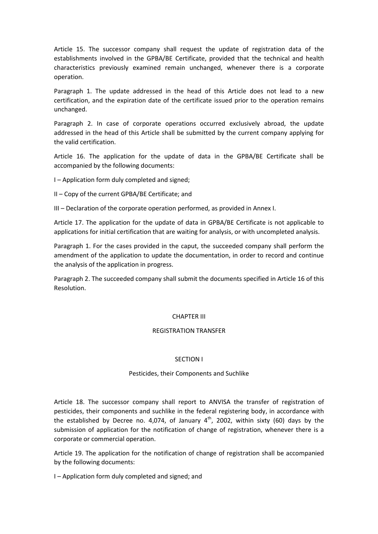Article 15. The successor company shall request the update of registration data of the establishments involved in the GPBA/BE Certificate, provided that the technical and health characteristics previously examined remain unchanged, whenever there is a corporate operation.

Paragraph 1. The update addressed in the head of this Article does not lead to a new certification, and the expiration date of the certificate issued prior to the operation remains unchanged.

Paragraph 2. In case of corporate operations occurred exclusively abroad, the update addressed in the head of this Article shall be submitted by the current company applying for the valid certification.

Article 16. The application for the update of data in the GPBA/BE Certificate shall be accompanied by the following documents:

I – Application form duly completed and signed;

II – Copy of the current GPBA/BE Certificate; and

III – Declaration of the corporate operation performed, as provided in Annex I.

Article 17. The application for the update of data in GPBA/BE Certificate is not applicable to applications for initial certification that are waiting for analysis, or with uncompleted analysis.

Paragraph 1. For the cases provided in the caput, the succeeded company shall perform the amendment of the application to update the documentation, in order to record and continue the analysis of the application in progress.

Paragraph 2. The succeeded company shall submit the documents specified in Article 16 of this Resolution.

#### CHAPTER III

#### REGISTRATION TRANSFER

#### SECTION I

#### Pesticides, their Components and Suchlike

Article 18. The successor company shall report to ANVISA the transfer of registration of pesticides, their components and suchlike in the federal registering body, in accordance with the established by Decree no. 4,074, of January  $4<sup>th</sup>$ , 2002, within sixty (60) days by the submission of application for the notification of change of registration, whenever there is a corporate or commercial operation.

Article 19. The application for the notification of change of registration shall be accompanied by the following documents:

I – Application form duly completed and signed; and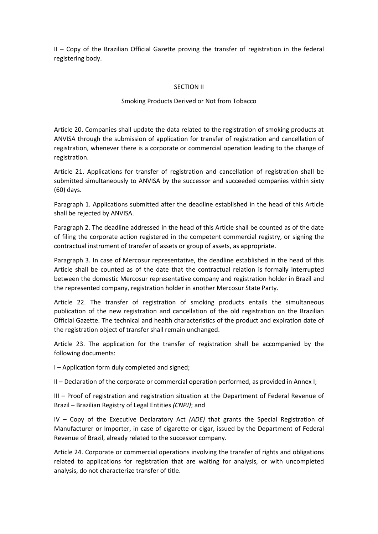II – Copy of the Brazilian Official Gazette proving the transfer of registration in the federal registering body.

# SECTION II

# Smoking Products Derived or Not from Tobacco

Article 20. Companies shall update the data related to the registration of smoking products at ANVISA through the submission of application for transfer of registration and cancellation of registration, whenever there is a corporate or commercial operation leading to the change of registration.

Article 21. Applications for transfer of registration and cancellation of registration shall be submitted simultaneously to ANVISA by the successor and succeeded companies within sixty (60) days.

Paragraph 1. Applications submitted after the deadline established in the head of this Article shall be rejected by ANVISA.

Paragraph 2. The deadline addressed in the head of this Article shall be counted as of the date of filing the corporate action registered in the competent commercial registry, or signing the contractual instrument of transfer of assets or group of assets, as appropriate.

Paragraph 3. In case of Mercosur representative, the deadline established in the head of this Article shall be counted as of the date that the contractual relation is formally interrupted between the domestic Mercosur representative company and registration holder in Brazil and the represented company, registration holder in another Mercosur State Party.

Article 22. The transfer of registration of smoking products entails the simultaneous publication of the new registration and cancellation of the old registration on the Brazilian Official Gazette. The technical and health characteristics of the product and expiration date of the registration object of transfer shall remain unchanged.

Article 23. The application for the transfer of registration shall be accompanied by the following documents:

I – Application form duly completed and signed;

II – Declaration of the corporate or commercial operation performed, as provided in Annex I;

III – Proof of registration and registration situation at the Department of Federal Revenue of Brazil – Brazilian Registry of Legal Entities *(CNPJ)*; and

IV – Copy of the Executive Declaratory Act *(ADE)* that grants the Special Registration of Manufacturer or Importer, in case of cigarette or cigar, issued by the Department of Federal Revenue of Brazil, already related to the successor company.

Article 24. Corporate or commercial operations involving the transfer of rights and obligations related to applications for registration that are waiting for analysis, or with uncompleted analysis, do not characterize transfer of title.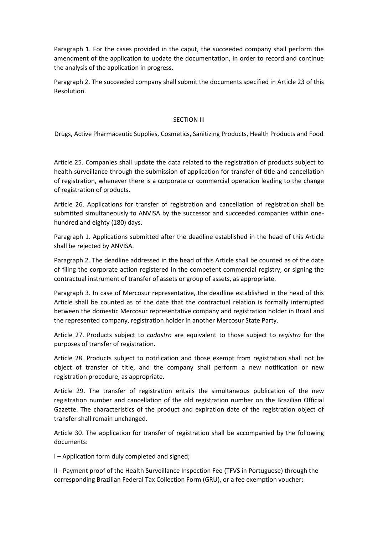Paragraph 1. For the cases provided in the caput, the succeeded company shall perform the amendment of the application to update the documentation, in order to record and continue the analysis of the application in progress.

Paragraph 2. The succeeded company shall submit the documents specified in Article 23 of this Resolution.

# SECTION III

Drugs, Active Pharmaceutic Supplies, Cosmetics, Sanitizing Products, Health Products and Food

Article 25. Companies shall update the data related to the registration of products subject to health surveillance through the submission of application for transfer of title and cancellation of registration, whenever there is a corporate or commercial operation leading to the change of registration of products.

Article 26. Applications for transfer of registration and cancellation of registration shall be submitted simultaneously to ANVISA by the successor and succeeded companies within onehundred and eighty (180) days.

Paragraph 1. Applications submitted after the deadline established in the head of this Article shall be rejected by ANVISA.

Paragraph 2. The deadline addressed in the head of this Article shall be counted as of the date of filing the corporate action registered in the competent commercial registry, or signing the contractual instrument of transfer of assets or group of assets, as appropriate.

Paragraph 3. In case of Mercosur representative, the deadline established in the head of this Article shall be counted as of the date that the contractual relation is formally interrupted between the domestic Mercosur representative company and registration holder in Brazil and the represented company, registration holder in another Mercosur State Party.

Article 27. Products subject to *cadastro* are equivalent to those subject to *registro* for the purposes of transfer of registration.

Article 28. Products subject to notification and those exempt from registration shall not be object of transfer of title, and the company shall perform a new notification or new registration procedure, as appropriate.

Article 29. The transfer of registration entails the simultaneous publication of the new registration number and cancellation of the old registration number on the Brazilian Official Gazette. The characteristics of the product and expiration date of the registration object of transfer shall remain unchanged.

Article 30. The application for transfer of registration shall be accompanied by the following documents:

I – Application form duly completed and signed;

II - Payment proof of the Health Surveillance Inspection Fee (TFVS in Portuguese) through the corresponding Brazilian Federal Tax Collection Form (GRU), or a fee exemption voucher;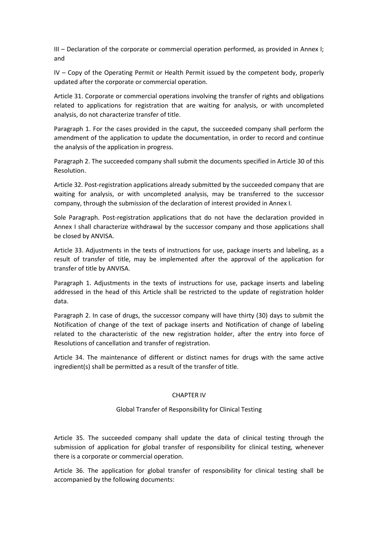III – Declaration of the corporate or commercial operation performed, as provided in Annex I; and

IV – Copy of the Operating Permit or Health Permit issued by the competent body, properly updated after the corporate or commercial operation.

Article 31. Corporate or commercial operations involving the transfer of rights and obligations related to applications for registration that are waiting for analysis, or with uncompleted analysis, do not characterize transfer of title.

Paragraph 1. For the cases provided in the caput, the succeeded company shall perform the amendment of the application to update the documentation, in order to record and continue the analysis of the application in progress.

Paragraph 2. The succeeded company shall submit the documents specified in Article 30 of this Resolution.

Article 32. Post-registration applications already submitted by the succeeded company that are waiting for analysis, or with uncompleted analysis, may be transferred to the successor company, through the submission of the declaration of interest provided in Annex I.

Sole Paragraph. Post-registration applications that do not have the declaration provided in Annex I shall characterize withdrawal by the successor company and those applications shall be closed by ANVISA.

Article 33. Adjustments in the texts of instructions for use, package inserts and labeling, as a result of transfer of title, may be implemented after the approval of the application for transfer of title by ANVISA.

Paragraph 1. Adjustments in the texts of instructions for use, package inserts and labeling addressed in the head of this Article shall be restricted to the update of registration holder data.

Paragraph 2. In case of drugs, the successor company will have thirty (30) days to submit the Notification of change of the text of package inserts and Notification of change of labeling related to the characteristic of the new registration holder, after the entry into force of Resolutions of cancellation and transfer of registration.

Article 34. The maintenance of different or distinct names for drugs with the same active ingredient(s) shall be permitted as a result of the transfer of title.

## CHAPTER IV

## Global Transfer of Responsibility for Clinical Testing

Article 35. The succeeded company shall update the data of clinical testing through the submission of application for global transfer of responsibility for clinical testing, whenever there is a corporate or commercial operation.

Article 36. The application for global transfer of responsibility for clinical testing shall be accompanied by the following documents: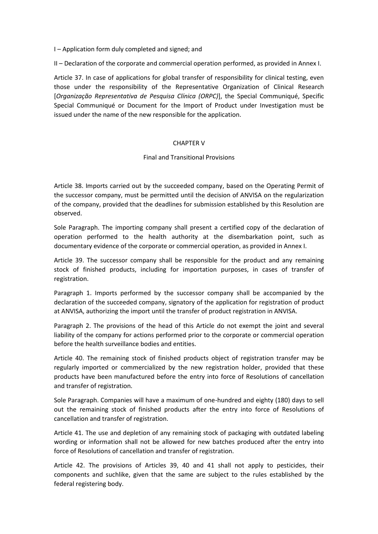I – Application form duly completed and signed; and

II – Declaration of the corporate and commercial operation performed, as provided in Annex I.

Article 37. In case of applications for global transfer of responsibility for clinical testing, even those under the responsibility of the Representative Organization of Clinical Research [*Organização Representativa de Pesquisa Clínica (ORPC)*], the Special Communiqué, Specific Special Communiqué or Document for the Import of Product under Investigation must be issued under the name of the new responsible for the application.

### CHAPTER V

### Final and Transitional Provisions

Article 38. Imports carried out by the succeeded company, based on the Operating Permit of the successor company, must be permitted until the decision of ANVISA on the regularization of the company, provided that the deadlines for submission established by this Resolution are observed.

Sole Paragraph. The importing company shall present a certified copy of the declaration of operation performed to the health authority at the disembarkation point, such as documentary evidence of the corporate or commercial operation, as provided in Annex I.

Article 39. The successor company shall be responsible for the product and any remaining stock of finished products, including for importation purposes, in cases of transfer of registration.

Paragraph 1. Imports performed by the successor company shall be accompanied by the declaration of the succeeded company, signatory of the application for registration of product at ANVISA, authorizing the import until the transfer of product registration in ANVISA.

Paragraph 2. The provisions of the head of this Article do not exempt the joint and several liability of the company for actions performed prior to the corporate or commercial operation before the health surveillance bodies and entities.

Article 40. The remaining stock of finished products object of registration transfer may be regularly imported or commercialized by the new registration holder, provided that these products have been manufactured before the entry into force of Resolutions of cancellation and transfer of registration.

Sole Paragraph. Companies will have a maximum of one-hundred and eighty (180) days to sell out the remaining stock of finished products after the entry into force of Resolutions of cancellation and transfer of registration.

Article 41. The use and depletion of any remaining stock of packaging with outdated labeling wording or information shall not be allowed for new batches produced after the entry into force of Resolutions of cancellation and transfer of registration.

Article 42. The provisions of Articles 39, 40 and 41 shall not apply to pesticides, their components and suchlike, given that the same are subject to the rules established by the federal registering body.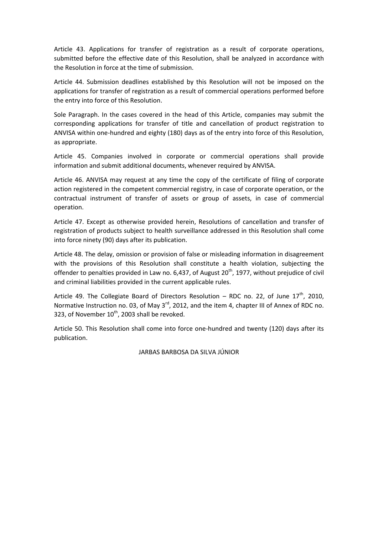Article 43. Applications for transfer of registration as a result of corporate operations, submitted before the effective date of this Resolution, shall be analyzed in accordance with the Resolution in force at the time of submission.

Article 44. Submission deadlines established by this Resolution will not be imposed on the applications for transfer of registration as a result of commercial operations performed before the entry into force of this Resolution.

Sole Paragraph. In the cases covered in the head of this Article, companies may submit the corresponding applications for transfer of title and cancellation of product registration to ANVISA within one-hundred and eighty (180) days as of the entry into force of this Resolution, as appropriate.

Article 45. Companies involved in corporate or commercial operations shall provide information and submit additional documents, whenever required by ANVISA.

Article 46. ANVISA may request at any time the copy of the certificate of filing of corporate action registered in the competent commercial registry, in case of corporate operation, or the contractual instrument of transfer of assets or group of assets, in case of commercial operation.

Article 47. Except as otherwise provided herein, Resolutions of cancellation and transfer of registration of products subject to health surveillance addressed in this Resolution shall come into force ninety (90) days after its publication.

Article 48. The delay, omission or provision of false or misleading information in disagreement with the provisions of this Resolution shall constitute a health violation, subjecting the offender to penalties provided in Law no. 6,437, of August 20<sup>th</sup>, 1977, without prejudice of civil and criminal liabilities provided in the current applicable rules.

Article 49. The Collegiate Board of Directors Resolution – RDC no. 22, of June  $17<sup>th</sup>$ , 2010, Normative Instruction no. 03, of May  $3^{rd}$ , 2012, and the item 4, chapter III of Annex of RDC no. 323, of November  $10^{th}$ , 2003 shall be revoked.

Article 50. This Resolution shall come into force one-hundred and twenty (120) days after its publication.

JARBAS BARBOSA DA SILVA JÚNIOR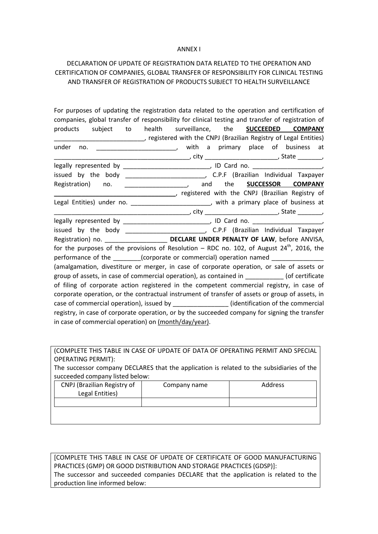### ANNEX I

# DECLARATION OF UPDATE OF REGISTRATION DATA RELATED TO THE OPERATION AND CERTIFICATION OF COMPANIES, GLOBAL TRANSFER OF RESPONSIBILITY FOR CLINICAL TESTING AND TRANSFER OF REGISTRATION OF PRODUCTS SUBJECT TO HEALTH SURVEILLANCE

| For purposes of updating the registration data related to the operation and certification of      |
|---------------------------------------------------------------------------------------------------|
| companies, global transfer of responsibility for clinical testing and transfer of registration of |
| subject to health surveillance, the <b>SUCCEEDED COMPANY</b><br>products                          |
| _______________________, registered with the CNPJ (Brazilian Registry of Legal Entities)          |
| with a primary place of business at<br>under<br>no.                                               |
|                                                                                                   |
|                                                                                                   |
|                                                                                                   |
| Registration) no. ____________________, and the <b>SUCCESSOR COMPANY</b>                          |
| ceptistered with the CNPJ (Brazilian Registry of                                                  |
| Legal Entities) under no. __________________________, with a primary place of business at         |
|                                                                                                   |
|                                                                                                   |
|                                                                                                   |
|                                                                                                   |
| for the purposes of the provisions of Resolution – RDC no. 102, of August $24^{th}$ , 2016, the   |
| performance of the __________(corporate or commercial) operation named                            |
| (amalgamation, divestiture or merger, in case of corporate operation, or sale of assets or        |
| group of assets, in case of commercial operation), as contained in ___________ (of certificate    |
| of filing of corporate action registered in the competent commercial registry, in case of         |
| corporate operation, or the contractual instrument of transfer of assets or group of assets, in   |
| case of commercial operation), issued by _________________(identification of the commercial       |
| registry, in case of corporate operation, or by the succeeded company for signing the transfer    |
| in case of commercial operation) on (month/day/year).                                             |

(COMPLETE THIS TABLE IN CASE OF UPDATE OF DATA OF OPERATING PERMIT AND SPECIAL OPERATING PERMIT):

The successor company DECLARES that the application is related to the subsidiaries of the succeeded company listed below:

| CNPJ (Brazilian Registry of<br>Legal Entities) | Company name | Address |
|------------------------------------------------|--------------|---------|
|                                                |              |         |
|                                                |              |         |
|                                                |              |         |

[COMPLETE THIS TABLE IN CASE OF UPDATE OF CERTIFICATE OF GOOD MANUFACTURING PRACTICES (GMP) OR GOOD DISTRIBUTION AND STORAGE PRACTICES (GDSP)]: The successor and succeeded companies DECLARE that the application is related to the production line informed below: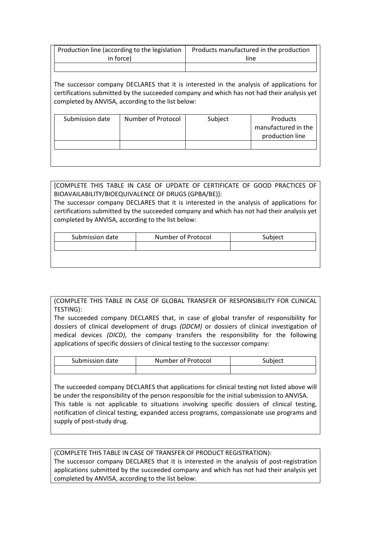| Production line (according to the legislation | Products manufactured in the production |
|-----------------------------------------------|-----------------------------------------|
| in force)                                     | line                                    |
|                                               |                                         |

The successor company DECLARES that it is interested in the analysis of applications for certifications submitted by the succeeded company and which has not had their analysis yet completed by ANVISA, according to the list below:

| Submission date | Number of Protocol | Subject | Products            |
|-----------------|--------------------|---------|---------------------|
|                 |                    |         | manufactured in the |
|                 |                    |         | production line     |
|                 |                    |         |                     |
|                 |                    |         |                     |
|                 |                    |         |                     |

[COMPLETE THIS TABLE IN CASE OF UPDATE OF CERTIFICATE OF GOOD PRACTICES OF BIOAVAILABILITY/BIOEQUIVALENCE OF DRUGS (GPBA/BE)]:

The successor company DECLARES that it is interested in the analysis of applications for certifications submitted by the succeeded company and which has not had their analysis yet completed by ANVISA, according to the list below:

| Submission date | Number of Protocol | Subject |
|-----------------|--------------------|---------|
|                 |                    |         |

# (COMPLETE THIS TABLE IN CASE OF GLOBAL TRANSFER OF RESPONSIBILITY FOR CLINICAL TESTING):

The succeeded company DECLARES that, in case of global transfer of responsibility for dossiers of clinical development of drugs *(DDCM)* or dossiers of clinical investigation of medical devices *(DICD)*, the company transfers the responsibility for the following applications of specific dossiers of clinical testing to the successor company:

| Submission date | Number of Protocol | Subiect |
|-----------------|--------------------|---------|
|                 |                    |         |

The succeeded company DECLARES that applications for clinical testing not listed above will be under the responsibility of the person responsible for the initial submission to ANVISA. This table is not applicable to situations involving specific dossiers of clinical testing, notification of clinical testing, expanded access programs, compassionate use programs and supply of post-study drug.

(COMPLETE THIS TABLE IN CASE OF TRANSFER OF PRODUCT REGISTRATION): The successor company DECLARES that it is interested in the analysis of post-registration applications submitted by the succeeded company and which has not had their analysis yet completed by ANVISA, according to the list below: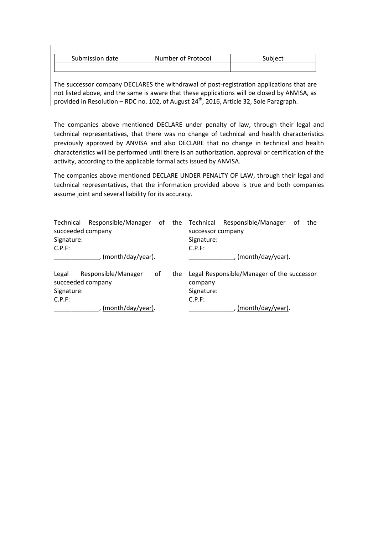| Submission date | Number of Protocol | Subject |
|-----------------|--------------------|---------|
|                 |                    |         |

The successor company DECLARES the withdrawal of post-registration applications that are not listed above, and the same is aware that these applications will be closed by ANVISA, as provided in Resolution – RDC no. 102, of August  $24<sup>th</sup>$ , 2016, Article 32, Sole Paragraph.

The companies above mentioned DECLARE under penalty of law, through their legal and technical representatives, that there was no change of technical and health characteristics previously approved by ANVISA and also DECLARE that no change in technical and health characteristics will be performed until there is an authorization, approval or certification of the activity, according to the applicable formal acts issued by ANVISA.

The companies above mentioned DECLARE UNDER PENALTY OF LAW, through their legal and technical representatives, that the information provided above is true and both companies assume joint and several liability for its accuracy.

| Technical<br>succeeded company |                     |    |     |                   | Responsible/Manager of the Technical Responsible/Manager | оf | the |
|--------------------------------|---------------------|----|-----|-------------------|----------------------------------------------------------|----|-----|
|                                |                     |    |     | successor company |                                                          |    |     |
| Signature:                     |                     |    |     | Signature:        |                                                          |    |     |
| C.P.F:                         |                     |    |     | C.P.F:            |                                                          |    |     |
|                                | (month/day/year).   |    |     |                   | (month/day/year).                                        |    |     |
| Legal                          | Responsible/Manager | 0f | the |                   | Legal Responsible/Manager of the successor               |    |     |
| succeeded company              |                     |    |     | company           |                                                          |    |     |
| Signature:                     |                     |    |     | Signature:        |                                                          |    |     |
| C.P.F:                         |                     |    |     | C.P.F:            |                                                          |    |     |
|                                | (month/day/year).   |    |     |                   | (month/day/year).                                        |    |     |